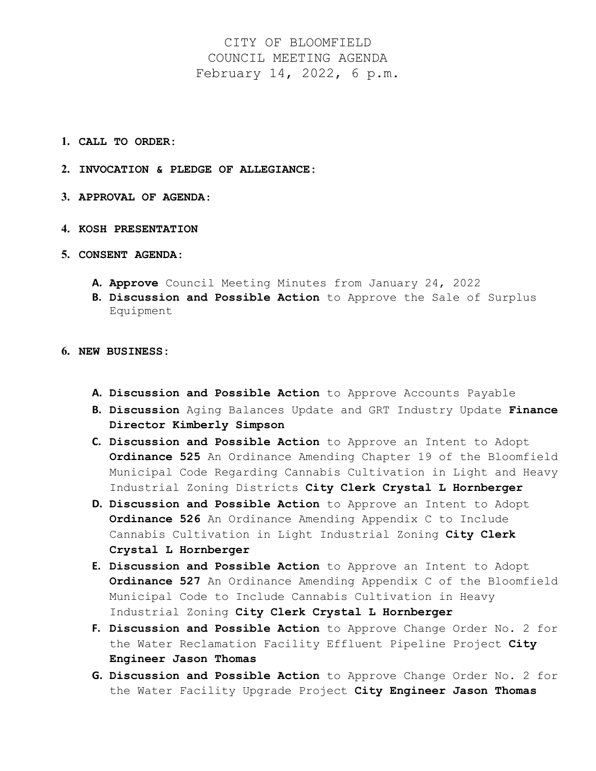## CITY OF BLOOMFIELD COUNCIL MEETING AGENDA February 14, 2022, 6 p.m.

- **1. CALL TO ORDER:**
- **2. INVOCATION & PLEDGE OF ALLEGIANCE:**
- **3. APPROVAL OF AGENDA**:
- **4. KOSH PRESENTATION**
- **5. CONSENT AGENDA:**
	- **A. Approve** Council Meeting Minutes from January 24, 2022
	- **B. Discussion and Possible Action** to Approve the Sale of Surplus Equipment
- **6. NEW BUSINESS:**
	- **A. Discussion and Possible Action** to Approve Accounts Payable
	- **B. Discussion** Aging Balances Update and GRT Industry Update **Finance Director Kimberly Simpson**
	- **C. Discussion and Possible Action** to Approve an Intent to Adopt **Ordinance 525** An Ordinance Amending Chapter 19 of the Bloomfield Municipal Code Regarding Cannabis Cultivation in Light and Heavy Industrial Zoning Districts **City Clerk Crystal L Hornberger**
	- **D. Discussion and Possible Action** to Approve an Intent to Adopt **Ordinance 526** An Ordinance Amending Appendix C to Include Cannabis Cultivation in Light Industrial Zoning **City Clerk Crystal L Hornberger**
	- **E. Discussion and Possible Action** to Approve an Intent to Adopt **Ordinance 527** An Ordinance Amending Appendix C of the Bloomfield Municipal Code to Include Cannabis Cultivation in Heavy Industrial Zoning **City Clerk Crystal L Hornberger**
	- **F. Discussion and Possible Action** to Approve Change Order No. 2 for the Water Reclamation Facility Effluent Pipeline Project **City Engineer Jason Thomas**
	- **G. Discussion and Possible Action** to Approve Change Order No. 2 for the Water Facility Upgrade Project **City Engineer Jason Thomas**